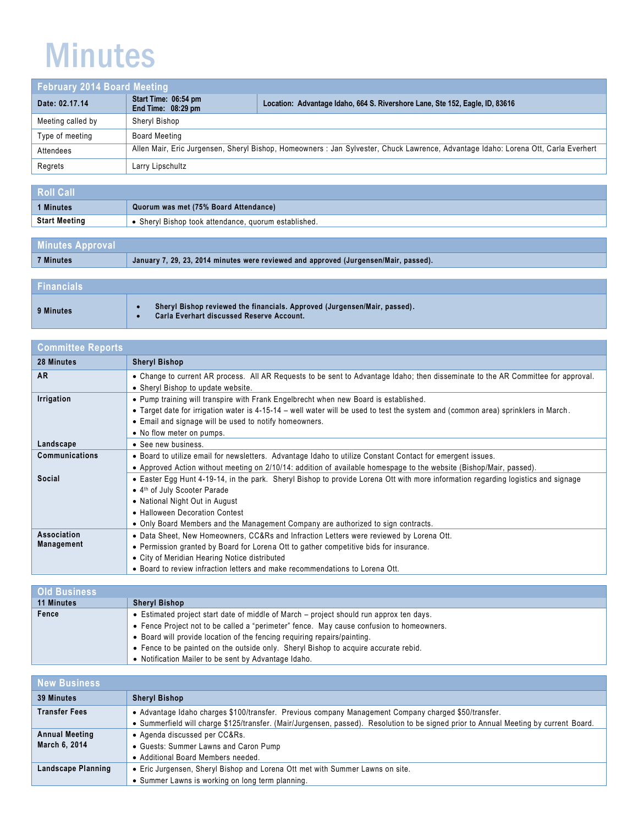## Minutes

| <b>February 2014 Board Meeting</b> |                                            |                                                                                                                                   |
|------------------------------------|--------------------------------------------|-----------------------------------------------------------------------------------------------------------------------------------|
| Date: 02.17.14                     | Start Time: 06:54 pm<br>End Time: 08:29 pm | Location: Advantage Idaho, 664 S. Rivershore Lane, Ste 152, Eagle, ID, 83616                                                      |
| Meeting called by                  | Sheryl Bishop                              |                                                                                                                                   |
| Type of meeting                    | <b>Board Meeting</b>                       |                                                                                                                                   |
| Attendees                          |                                            | Allen Mair, Eric Jurgensen, Sheryl Bishop, Homeowners: Jan Sylvester, Chuck Lawrence, Advantage Idaho: Lorena Ott, Carla Everhert |
| Regrets                            | Larry Lipschultz                           |                                                                                                                                   |

| <b>Roll Call</b> |                                                      |
|------------------|------------------------------------------------------|
| 1 Minutes        | Quorum was met (75% Board Attendance)                |
| 'Start Meeting   | • Sheryl Bishop took attendance, quorum established. |

| <b>Minutes Approval</b>                                                              |  |
|--------------------------------------------------------------------------------------|--|
| January 7, 29, 23, 2014 minutes were reviewed and approved (Jurgensen/Mair, passed). |  |
|                                                                                      |  |
|                                                                                      |  |

| <b>Financials</b> |                                                                                                                        |
|-------------------|------------------------------------------------------------------------------------------------------------------------|
| 9 Minutes         | Sheryl Bishop reviewed the financials. Approved (Jurgensen/Mair, passed).<br>Carla Everhart discussed Reserve Account. |

| <b>Committee Reports</b> |                                                                                                                                   |
|--------------------------|-----------------------------------------------------------------------------------------------------------------------------------|
| 28 Minutes               | <b>Sheryl Bishop</b>                                                                                                              |
| <b>AR</b>                | • Change to current AR process. All AR Requests to be sent to Advantage Idaho; then disseminate to the AR Committee for approval. |
|                          | • Sheryl Bishop to update website.                                                                                                |
| Irrigation               | . Pump training will transpire with Frank Engelbrecht when new Board is established.                                              |
|                          | • Target date for irrigation water is 4-15-14 – well water will be used to test the system and (common area) sprinklers in March. |
|                          | • Email and signage will be used to notify homeowners.                                                                            |
|                          | • No flow meter on pumps.                                                                                                         |
| Landscape                | • See new business.                                                                                                               |
| <b>Communications</b>    | . Board to utilize email for newsletters. Advantage Idaho to utilize Constant Contact for emergent issues.                        |
|                          | • Approved Action without meeting on 2/10/14: addition of available homespage to the website (Bishop/Mair, passed).               |
| Social                   | • Easter Egg Hunt 4-19-14, in the park. Sheryl Bishop to provide Lorena Ott with more information regarding logistics and signage |
|                          | • 4th of July Scooter Parade                                                                                                      |
|                          | • National Night Out in August                                                                                                    |
|                          | • Halloween Decoration Contest                                                                                                    |
|                          | • Only Board Members and the Management Company are authorized to sign contracts.                                                 |
| Association              | • Data Sheet, New Homeowners, CC&Rs and Infraction Letters were reviewed by Lorena Ott.                                           |
| Management               | • Permission granted by Board for Lorena Ott to gather competitive bids for insurance.                                            |
|                          | • City of Meridian Hearing Notice distributed                                                                                     |
|                          | • Board to review infraction letters and make recommendations to Lorena Ott.                                                      |

| <b>Old Business</b> |                                                                                          |
|---------------------|------------------------------------------------------------------------------------------|
| <b>11 Minutes</b>   | <b>Sheryl Bishop</b>                                                                     |
| Fence               | • Estimated project start date of middle of March – project should run approx ten days.  |
|                     | • Fence Project not to be called a "perimeter" fence. May cause confusion to homeowners. |
|                     | • Board will provide location of the fencing requiring repairs/painting.                 |
|                     | • Fence to be painted on the outside only. Sheryl Bishop to acquire accurate rebid.      |
|                     | • Notification Mailer to be sent by Advantage Idaho.                                     |

| <b>New Business</b>   |                                                                                                                                       |
|-----------------------|---------------------------------------------------------------------------------------------------------------------------------------|
| <b>39 Minutes</b>     | <b>Sheryl Bishop</b>                                                                                                                  |
| <b>Transfer Fees</b>  | - Advantage Idaho charges \$100/transfer. Previous company Management Company charged \$50/transfer.                                  |
|                       | • Summerfield will charge \$125/transfer. (Mair/Jurgensen, passed). Resolution to be signed prior to Annual Meeting by current Board. |
| <b>Annual Meeting</b> | • Agenda discussed per CC&Rs.                                                                                                         |
| March 6, 2014         | • Guests: Summer Lawns and Caron Pump                                                                                                 |
|                       | • Additional Board Members needed.                                                                                                    |
| Landscape Planning    | • Eric Jurgensen, Sheryl Bishop and Lorena Ott met with Summer Lawns on site.                                                         |
|                       | • Summer Lawns is working on long term planning.                                                                                      |